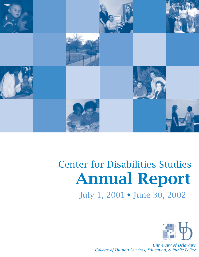

# Center for Disabilities Studies Annual Report July 1, 2001 • June 30, 2002



*University of Delaware College of Human Services, Education, & Public Policy*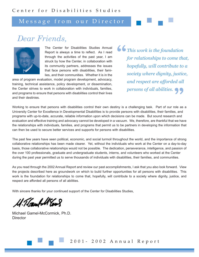# Message from our Director

# *Dear Friends,*



The Center for Disabilities Studies Annual Report is always a time to reflect. As I read through the activities of the past year, I am struck by how the Center, in collaboration with its community partners, addresses the issues that face persons with disabilities, their families, and their communities. Whether it is in the

area of program evaluation, model program development, advocacy, training, technical assistance, policy development, or dissemination, the Center strives to work in collaboration with individuals, families, and programs to ensure that persons with disabilities control their lives and their destinies.

" persons of all abilities.<br> **Philan**ging took . Part of our role as *This work is the foundation for relationships to come that, hopefully, will contribute to a society where dignity, justice, and respect are afforded all* 

Working to ensure that persons with disabilities control their own destiny is a challenging task. Part of our role as a University Center for Excellence in Developmental Disabilities is to provide persons with disabilities, their families, and programs with up-to-date, accurate, reliable information upon which decisions can be made. But sound research and evaluation and effective training and advocacy cannot be developed in a vacuum. We, therefore, are thankful that we have the relationships with individuals, families, and programs that permit us to be partners in developing the information that can then be used to secure better services and supports for persons with disabilities.

The past few years have seen political, economic, and social turmoil throughout the world, and the importance of strong collaborative relationships has been made clearer. Yet, without the individuals who work at the Center on a day-to-day basis, those collaborative relationships would not be possible. The dedication, perseverance, intelligence, and passion of the over 100 professionals, graduate and undergraduate students, interns, and volunteers who worked at the Center during the past year permitted us to serve thousands of individuals with disabilities, their families, and communities.

As you read through the 2002 Annual Report and review our past accomplishments, I ask that you also look forward. View the projects described here as groundwork on which to build further opportunities for all persons with disabilities. This work is the foundation for relationships to come that, hopefully, will contribute to a society where dignity, justice, and respect are afforded all persons of all abilities.

With sincere thanks for your continued support of the Center for Disabilities Studies,

4. T.Campell Evo

Michael Gamel-McCormick, Ph.D. **Director**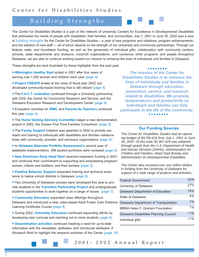# Building Strengths

The Center for Disabilities Studies is a part of the network of University Centers for Excellence in Developmental Disabilities that addresses the needs of people with disabilities, their families, and communities. July 1, 2001 to June 30, 2002 was a year of *building strengths* for the Center for Disabilities Studies— a year of new programs and initiatives, program enhancements, and the addition of new staff — all of which depend on the strength of our University and community partnerships. Through our federal, state, and foundation funding, as well as the generosity of individual gifts, collaboration with community centers, schools, state departments and divisions, nonprofit organizations, and numerous other programs and people throughout Delaware, we are able to continue working toward our mission to enhance the lives of individuals and families in Delaware.

These strengths are best illustrated by these highlights from the past year:

- **Wilmington Healthy Start** ended in 2001 after four years of serving over 1,000 women and children each year (*page 4).*
- **Project CREATE** ended at the close of fiscal year 2002, but developed community-based training that is still utilized (*page 4).*
- The **F.A.C.T. evaluation** continued through a University partnership with CDS, the Center for Community Research and Service, and the Delaware Education Research and Development Center (*page 4).*
- Evaluation activities for **IRMC** and **Parents As Teachers** continued this year (*page 4).*
- The **Home Visiting Advisory Committee** began a new demonstration project in 2002, the Sussex First Time Families Consortium (*page 5)*.
- The **Family Support** Initiative was awarded in 2002 to provide outreach and training to individuals with disabilities and families collaboratively with community, provider, and advocacy organizations (*page 5).*
- In **Delaware Alternate Portfolio Assessment's** second year of statewide implementation, 398 student portfolios were reviewed (*page 6).*
- **New Directions Early Head Start** received expansion funding in 2001 and continues their commitment to supporting and empowering pregnant women, infants and toddlers, and their families (*page 5).*
- **Positive Behavior Support** expanded training and technical assistance to twelve school districts in Delaware (*page 6).*
- Two University of Delaware courses were developed this year to provide students in the **Transition Partnership Project** and undergraduate students opportunities to work together on a range of issues (*page 7).*
- **Community Education** expanded class offerings throughout Delaware and introduced a new, video-based Adult Foster Care Distance Learning Certificate Course (*page 8).*
- During 2002, **University Education** continued expanding efforts by developing new curricula and reaching out to more students (*page 9).*
- **Dissemination activities** continued meeting a need for up-to-date information with the newsletter, *delAware*, and introduced *delAware: A Research Brief* to highlight the research activities of the Center (*page 10).*

*The mission of the Center for Disabilities Studies is to enhance the lives of individuals and families in Delaware through education, prevention, service, and research related to disabilities. We promote independence and productivity so individuals and families can fully participate in the life of the community.*

. . . . . . . .

# **Our Funding Sources**

*The Center for Disabilities Studies had an operating budget of \$3,760,416 from July 1, 2001 to June 30, 2002. Of this total, \$1,907,424 was obtained through grants from the U.S. Department of Health and Human Services (DHHS), Administration for Children and Families, Head Start Bureau and Administration on Developmental Disabilities.* 

*The Center also received over one million dollars in funding from the University of Delaware for support of a wide range of projects and activities.* 

| <b>Federal Government</b>                     | 51%    |
|-----------------------------------------------|--------|
| University of Delaware                        | 27%    |
| Delaware Department of Education              | 14%    |
| State of Delaware                             | 4%     |
| Delaware Department of Transportation         | 1%     |
| MBNA Helen F. Graham Foundation               | $1\%$  |
| <b>Delaware Disabilities Planning Council</b> | $>1\%$ |
| Individual gifts                              | $>1\%$ |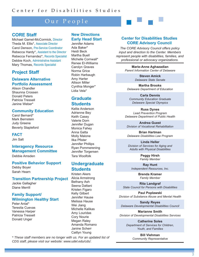# Our People

### **CORE Staff**

Michael Gamel-McCormick, Director Theda M. Ellis\*, Associate Director Carol Denson, Pre-Service Coordinator Rebecca Hardy\*, Assistant to the Director Rebecca Fernandez\*, Records Specialist Debbie Koch, Administrative Assistant Mary Thomas, Records Specialist

# **Project Staff**

#### **Delaware Alternative Portfolio Assessment**

Alison Chandler Shaunna Crossen Donald Peters Patricia Tressell Janine Weber\*

#### **Community Education**

Carol Bernard\* Mark Bernstein Judy Greene Beverly Stapleford

#### **FACT**

Jim Salt

# **Interagency Resource Management Committee**

Debbie Amsden

#### **Positive Behavior Support**

Debby Boyer Sarah Hearn

#### **Transition Partnership Project**

Jackie Gallagher Diane Merrill

#### **Family Support/ Wilmington Healthy Start**

Peter Antal\* Teresita Cuevas Vanessa Harper Patricia Tressell Donald Unger

#### **New Directions Early Head Start**

Jennifer Adams Ada Baker\* Heidi Beck Martha Buell Michelle Cornwall\* Renee El-Williams Carolyn Graves Norma Grice Robin Harbaugh Amy Harter Allison Miller Cynthia Monger\* Lidia Vela\*

## **Graduate Students**

Kellie Anderson Adrienne Bey Keith Casey Valerie Dorn Jennifer Dugan Monica Fahey Anna Gatta Molly Malone Ilka Pfister Jennifer Phillips Ryan Pommerening Jennifer Torgersen Tara Woolfolk

## **Undergraduate Students**

Kristen Akers Alicia Armstrong Bethany Ash Seena Dattani Kristen Figaro Kelly Gilbert Jennifer Hause Melissa Hause Wei Jiang Michelle Kalikas Amy Louridas Cory Nourie Megan Raley Amanda Romano Janine Scherr Caitlyn Young

**Center for Disabilities Studies CORE Advisory Council** 

*The CORE Advisory Council offers policy input and direction to the Center. Members represent people with disabilities, families, and professional or advocacy organizations.* 

> **Marie-Anne Aghazadian** *Parent Information Center of Delaware*

> > **Steven Amick** *Delaware State Senate*

**Martha Brooks** *Delaware Department of Education*

**Carla Dennis** *Community Education Graduate Delaware Special Olympics*

**Russ Dynes** *Lead Prevention Program Delaware Department of Public Health*

**Andrea Guest** *Division of Vocational Rehabilitation*

**Brian Hartman** *Delaware Disabilities Law Program*

**Linda Heller** *Division of Services for Aging and Adults with Physical Disabilities* 

> **Peggy Hirsh**  *Family Member*

**Ray Hunt** *Independent Resources, Inc.* 

> **Brenda Kramer** *Family Member*

**Rita Landgraf** *State Council for Persons with Disabilities* 

**Paul Poplawski** *Division of Substance Abuse and Mental Health*

**Sandy Reyes** *Delaware Developmental Disabilities Council*

**Marianne Smith** *Division of Developmental Disabilities Services* 

> **Catherine Soles** *Department of Services for Children, Youth, and Families*

> > **Bill Viehman** *Community Representative*

*\* These staff members are no longer with us. For an updated list of CDS staff, please visit our website: www.udel.edu/cds/.*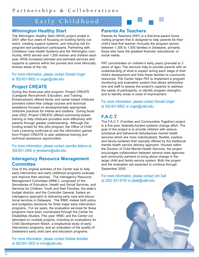# Early Childhood

# **Wilmington Healthy Start**

The Wilmington Healthy Start (WHS) project ended in 2001 after four years of focusing on building family outreach, creating support systems, and reducing risk for pregnant and postpartum participants. Partnering with Christiana Care Health Systems and the Wilmington community, WHS served over 1,000 women and children each year. WHS increased prenatal and perinatal services and supports to parents within the poorest and most ethnically diverse areas of the city.

For more information, please contact Donald Unger at 302-831-6852 or unger@udel.edu.

# **Project CREATE**

During this three-year pilot program, Project CREATE (Caregiver Recruitment, Education, and Training Enhancement) offered family and center-based childcare providers tuition-free college courses and technical assistance focused on developmentally appropriate childcare practices for infants and toddlers. During fiscal year 2002, Project CREATE offered community-based training to help childcare providers work effectively with parents through greater understanding. Although the funding ended for this pilot program, the Office of Child Care Licensing continues to use the information gained from Project CREATE to plan additional training and technical assistance opportunities.

For more information, please contact Jennifer Adams at 302-831-3492 or jenadams@udel.edu.

## **Interagency Resource Management Committee**

One of the original activities of the Center was to help early intervention and early childhood programs evaluate and improve their services. The Interagency Resource Management Committee (IRMC), composed of the Secretaries of Education, Health and Social Services, and Services for Children, Youth and their Families, the state's budget director, and the Controller General, fosters an interagency approach to delivering early care and educational services in Delaware. The IRMC makes both policy and budgetary decisions for three major early intervention programs. For six years, the evaluation services for these programs have been coordinated through the Center for Disabilities Studies. This year, IRMC and the Center collaborated on multiple projects, including an evaluations for Child Development Watch, a longitudinal study of early intervention programs, and an evaluation of the quality of Delaware's early child care and education programs.

For more information, please contact Debbie Amsden at 302-831-3633 or irmc@udel.edu.

# **Parents As Teachers**

Parents As Teachers (PAT) is a first-time-parent home visiting program that is designed to help parents be their child's best first teacher. Annually the program serves between 1,300 to 1,500 families in Delaware, primarily those who have the greatest financial, educational, or social needs.

PAT concentrates on children's early years (prenatal to 3 years of age). The services help to provide parents with an understanding of what to expect during each stage of their child's development and links these families to community resources. The Center helps PAT to implement a program monitoring and evaluation system that allows administrators and staff to assess the project's capacity to address the needs of participants, to identify program strengths, and to identify areas in need of improvement.

For more information, please contact Donald Unger at 302-831-6852 or unger@udel.edu.

# **F.A.C.T.**

The F.A.C.T. (Families and Communities Together) project is a five-year, federally-funded systems change effort. The goal of the project is to provide children with serious emotional and behavioral disturbances mental health services which are more individualized, flexible, positive, and family-centered than typically offered by the traditional mental health service delivery approach. Housed within the Division of Child Mental Health Services, the project encourages collaboration between several state agencies and community partners to bring about change in the larger child and family service system. Both the project and the evaluation are expected to continue through September 2005.

For more information, please contact Jim Salt at (302) 831-6735 or jdsalt@udel.edu.

4

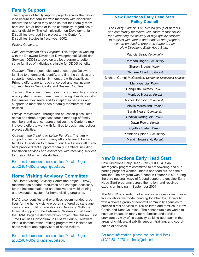# **Family Support**

The purpose of family support projects across the nation is to ensure that families with members with disabilities receive the services they need so that their family members can live at home or in the community, regardless of age or disability. The Administration on Developmental Disabilities awarded this project to the Center for Disabilities Studies in fiscal year 2002.

*Project Goals are:*

*Self Determination Pilot Program:* This project is working with the Delaware Division of Developmental Disabilities Services (DDDS) to develop a pilot program to better serve families of individuals eligible for DDDS benefits.

*Outreach:* The project helps and encourages Delaware families to understand, identify, and find the services and supports needed for family members with disabilities. Primary efforts are to reach unserved and low-income communities in New Castle and Sussex Counties.

*Training*: The project offers training to community and state agency staff to assist them in recognizing disabilities within the families they serve and to adapt their services and supports to meet the needs of family members with disabilities.

*Family Participation:* Through the education piece listed above and three project task forces made up of family members and agency representatives, the Center is making every effort to work with families to design and deliver project activities.

*Outreach and Training to Latino Families:* The family support project is making many efforts to reach Latino families. In addition to outreach, our two Latino staff members provide direct support to family members including translation services and assistance with receiving services for their children with disabilities.

For more information, please contact Donald Unger at 302-831-6852 or unger@udel.edu.

# **Home Visiting Advisory Committee**

The Home Visiting Advisory Committee project (HVAC) recommends needed resources and changes necessary for the implementation of an effective and valid training and evaluation system for home visiting programs.

HVAC also identifies and prioritizes recommended practices for the home visiting programs offered by state agencies and nonprofit organizations in Delaware. With the financial support of the Delaware Children's Trust Fund, the HVAC began a demonstration project, the Sussex First Time Families Consortium, in Sussex County, Delaware. Also, a demonstration training program was initiated for home visitors and supervisors of home visitors.

For more information, please contact Donald Unger at 302-831-6852 or unger@udel.edu.

### **New Directions Early Head Start Policy Council**

*The Policy Council is an elected group of parents and community members who share responsibility for overseeing the delivery of high quality services to families with infants and toddlers and pregnant women enrolled in programs supported by New Directions Early Head Start.* 

Patricia Beza, *Community*

Dorenda Boger, *Community*

Sharon Brown, *Parent*

Chimere Charlton, *Parent*

Michael Gamel-McCormick, *Center for Disabilities Studies*

Maria Garcia, *Parent*

Conquista Holmes, *Parent*

Monique Husser, *Parent*

Nicole Johnson, *Community*

Alexis Marchiana, *Parent*

Sarah Neale, *Community*

Shailyn Rodriguez, *Parent*

Dawn Rowe, *Parent*

Cynthia Slater, *Parent*

Kathleen Splane, *Community*

Marvin Townsend, *Parent*

## **New Directions Early Head Start**

New Directions Early Head Start (NDEHS) is an interagency program committed to empowering and supporting pregnant women, infants and toddlers, and their families. The program was funded in October 1997, during the third national wave of federal support to develop Early Head Start programs across the nation, and received expansion funding in September 2001.

The NDEHS consortium of agencies represents an innovative collaborative model bringing together the University with a diverse group of nonprofit community agencies to provide direct services to 135 children and families in New Castle and Kent Counties. The consortium also works to have an impact on many more families and service providers by way of its capacity-building approach in the areas of childcare, disability support, training, and coordination of services.

For more information, please contact Heidi Beck at 302-831-0478 or hlbeck@udel.edu.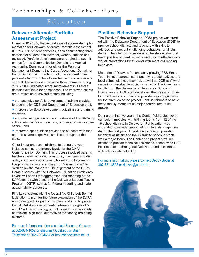# Education

# **Delaware Alternate Portfolio Assessment Project**

During 2001-2002, the second year of state-wide implementation for Delaware Alternate Portfolio Assessment (DAPA), 398 student portfolios, each documenting three domains of student achievement, were submitted and reviewed. Portfolio developers were required to submit entries for the Communication Domain, the Applied Academics Domain, and for either the Personal Management Domain, the Career/Vocational Domain or the Social Domain. Each portfolio was scored independently by two of the 24 qualified scorers. A comparison with the scores on the same three domains during 2000 - 2001 indicated score improvement in all three domains available for comparison. The improved scores are a reflection of several factors including:

• the extensive portfolio development training provided to teachers by CDS and Department of Education staff,

• improved portfolio development guidelines and training materials,

• a greater recognition of the importance of the DAPA by school administrators, teachers, and support service personnel, and

• improved opportunities provided to students with moderate to severe cognitive disabilities throughout the state.

Other important accomplishments during the year included setting proficiency levels for the DAPA Communication Domain. This process involved parents, teachers, administrators, community members and disability community advocates who set cut-off scores for five proficiency levels ranging from "distinguished" to "well below the standard." The alignment of the DAPA Domain scores with the Delaware Education Proficiency Levels will permit the aggregation and reporting of the DAPA scores with those of the Delaware Student Testing Program (DSTP) scores for federal reporting and state accountability purposes.

Finally, consistent with the federal No Child Left Behind legislation, a plan for the future expansion of the DAPA was developed. As part of this plan, and in anticipation that all DAPA eligible students between the ages of 5 and 17 will be submitting portfolios each year, a variety of efficient "high tech" alternatives for scoring are being explored.

For more information, please contact Shaunna Crossen at 302-831-1052 or shaunna@udel.edu or Brian Touchette at 302-739-4667 or btouchette@state.de.us.

## **Positive Behavior Support**

The Positive Behavior Support (PBS) project was created with the Delaware Department of Education (DOE) to provide school districts and teachers with skills to address and prevent challenging behaviors for all students. The intent is to create school-wide systems that teach positive student behavior and design effective individual interventions for students with more challenging behaviors.

Members of Delaware's constantly growing PBS State Team include parents, state agency representatives, and local school district personnel, as well as DOE staff who serve in an invaluable advisory capacity. The Core Team faculty from the University of Delaware's School of Education and DOE staff developed the original curriculum modules and continue to provide ongoing guidance for the direction of the project. PBS is fortunate to have these faculty members as major contributors to its growth.

During the first two years, the Center field-tested seven curriculum modules with training teams from 12 of the 19 school districts in Delaware. Participation was expanded to include personnel from five state agencies during the last year. In addition to training, providing technical assistance to the 12 trained school districts was a major focus. The Center and project staff are excited to provide technical assistance, school-wide PBS implementation throughout Delaware, and assistance with school data collection.

#### For more information, please contact Debby Boyer at 302-831-3503 or dboyer@udel.edu.

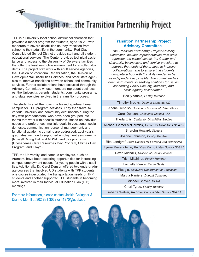# Spotlight on...the Transition Partnership Project

TPP is a university-local school district collaboration that provides a model program for students, aged 18-21, with moderate to severe disabilities as they transition from school to their adult life in the community. Red Clay Consolidated School District provides staff and all student educational services. The Center provides technical assistance and access to the University of Delaware facilities that offer the least restrictive environment for enrolled students. The project staff work with adult service agencies, the Division of Vocational Rehabilitation, the Division of Developmental Disabilities Services, and other state agencies to improve transitions between school and community services. Further collaborations have occurred through the Advisory Committee whose members represent businesses, the University, parents, students, community programs, and state agencies involved in the transition process.

The students start their day in a leased apartment near campus for TPP program activities. They then travel to various university and community destinations during the day with paraeducators, who have been grouped into teams that work with specific students. Based on individual needs and preferences, multiple goals in vocational, social, domestic, communication, personal management, and functional academic domains are addressed. Last year's graduates went on to supported employment assignments (Russell Dining Hall and MBNA) and day programs (Chesapeake Care Resources Day Program, Chimes Day Program, and Elwyn).

TPP, the University, and campus employers, such as Aramark, have been exploring opportunities for increasing campus employment options for young people with disabilities. Additionally, Dr. Carol Denson offered two undergraduate courses that involved UD students with TPP students; one course investigated the transportation needs of TPP students and another supported TPP students in becoming more involved in their Individual Education Plan (IEP) meetings.

For more information, please contact Jackie Gallagher & Dianne Merrill at 302-831-3062 or 11970@udel.edu.

#### **Transition Partnership Project Advisory Committee**

*The Transition Partnership Project Advisory Committee includes representatives from state agencies, the school district, the Center and University, businesses, and service providers to address the needs of the project, to improve collaborations, and to ensure that students complete school with the skills needed to be as independent as possible. The committee has been instrumental in seeking solutions for issues concerning Social Security, Medicaid, and cross agency collaboration.*

Becky Arnold, *Family Member* 

Timothy Brooks, *Dean of Students, UD*

Arlene Denniso, *Division of Vocational Rehabilitation*

Carol Denson, *Consumer Studies, UD*

Theda Ellis, *Center for Disabilities Studies*

Michael Gamel-McCormick, *Center for Disabilities Studies*

Sharohn Howard, *Student*

Joanne Johnston, *Family Member*

Rita Landgraf, *State Council for Persons with Disabiltiies*

Lynne Meyer-Berlin, *Red Clay Consolidated School District*

David Michalik, *Division of Social Services* 

Trish Mitchiner, *Family Member*

Lachelle Pierce, *Easter Seals*

Tom Pledgie, *Delaware Department of Education*

Marcia Raniere, *Dupont Company*

Michael Shriver, *MBNA*

Cheri Tyree, *Family Member*

Roberta Walker, *Red Clay Consolidated School District* 

7

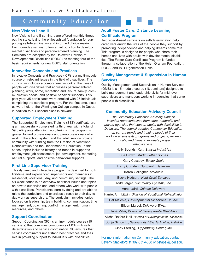# Community Education

#### **New Visions I and II**

New Visions I and II seminars are offered monthly throughout the state, laying the philosophical foundation for supporting self-determination and informed choice making. Each one-day seminar offers an introduction to developmental disabilities and person-centered planning. The Seminars are accepted by the Delaware Division of Developmental Disabilities (DDDS) as meeting four of the basic requirements for new DDDS staff orientation.

#### **Innovative Concepts and Practices**

Innovative Concepts and Practices (ICP) is a multi-module course on relevant issues in the field of disabilities. The curriculum includes a comprehensive look at the lives of people with disabilities that addresses person-centered planning, work, home, recreation and leisure, family, communication needs, and positive behavior supports. This past year, 35 participants were enrolled with 25 individuals completing the certificate program. For the first time, classes were held at the Wilmington College campus in Dover, in addition to our second class in Newark.

#### **Supported Employment Training**

The Supported Employment Training (SET) certificate program successfully completed its third year with a total of 59 participants attending two offerings. The program is geared toward professionals and paraprofessionals who work in the school system and the adult service provider community with funding from the Division of Vocational Rehabilitation and the Department of Education. In this series, topics included history and trends in supported employment, job assessment, job development, marketing, natural supports, and positive behavioral supports.

#### **First Line Supervisor Training**

This dynamic and interactive program is designed for both first-time and experienced supervisors and managers in residential, vocational, day, and community settings. The six-week series is an overview of critical issues and topics on how to supervise and lead others who work with people with disabilities. Participants learn by doing and are able to relate the curriculum and exercises directly to their day-today work as supervisors. The curriculum includes topics focused on leadership, team building, communication, time management, coaching, conflict management, human resources, and others.

### **Support Coordination**

Support Coordination (SC) is a nine-module course (15 seminars) that combines components of ICP with selfdetermination and service coordination. SC ensures that service coordinators understand best practices and their role in providing support to individuals with disabilities.

# **Adult Foster Care, Distance Learning Certificate Program**

Two video-based seminars on self-determination help caregivers enrich the lives of the people they support by promoting independence and helping dreams come true. This program is designed for people who share their homes and lives with adults with developmental disabilities. The Foster Care Certificate Program is funded through a collaboration of the Helen Graham Foundation, DDDS, and INTERgeneration Links.

#### **Quality Management & Supervision in Human Services**

Quality Management and Supervision in Human Services (QMS) is a 15-module course (18 seminars) designed to build management and leadership skills for mid-level supervisors and managers working in agencies that serve people with disabilities.

#### **Community Education Advisory Council**

*The Community Education Advisory Council, includes representatives from state, nonprofit, and private agencies that support adults with disabilities in Delaware. The council updates Community Education on current trends and training needs of their workforce, suggests programs and projects, reviews curricula, and helps to evaluate program effectiveness.*

Holly Bounds, *Kent Sussex Industries*

Sue Brown, *Martin Luther Homes*

Gary Cassedy, *Easter Seals*

Harry Curriden, *Dungarvin Delaware*

Karen Gallagher, *Advocate*

Becky Hudson, *Kent Crest Services*

Todd Jarger, *Community Systems, Inc.* 

Anne Laird, *Chimes Delaware*

Harriet Ann Litwin, *Division of Vocational Rehabilitation*

Pat Maichle, *Developmental Disabilities Council* Eileen Marvel, *Delaware Elwyn*

Jane Miller, *Division of Developmental Disabilities*

Alisha Raiford-Hall, *Division of Developmental Disabilities* 

Sonja Simowitz, *Delaware Assistive Technology Initiative* Cindy Sterling, *Opportunity Center, Inc.* 

For more information on Community Education, contact Beverly Stapleford at 302-831-4688 or bstape@udel.edu.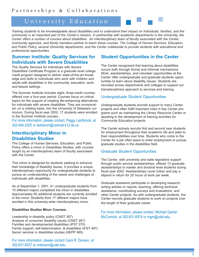# University Education

*Training students to be knowledgeable about disabilities and to understand their impact on individuals, families, and the community is an important part of the Center's mission. In partnership with academic departments in the University, the Center offers a number of courses about disabilities. An interdisciplinary team of faculty associated with the Center, community agencies, and family members partner to teach these courses. The College of Human Services, Education, and Public Policy, several University departments, and the Center collaborate to provide students with educational and professional opportunities.*

# **Summer Institute: Quality Services for Individuals with Severe Disabilities**

The Quality Services for Individuals with Severe Disabilities Certificate Program is a graduate level college credit program designed to deliver state-of-the-art knowledge and skills to individuals who work with children and adults with disabilities in the community, education, work, and leisure settings.

The Summer Institute includes eight, three-credit courses offered over a four-year period. Courses focus on critical topics for the support of creating life-enhancing alternatives for individuals with severe disabilities. They are incorporated, on a rotating basis, into the University of Delaware curriculum. During fiscal year 2002, 17 students were enrolled in the Summer Institute courses.

For more information, please contact, Peggy Lashbrook, at 302-454-2305 or lashbrom@csdmail.k12.de.us.

# **Interdisciplinary Minor in Disabilities Studies**

The College of Human Services, Education, and Public Policy offers a minor in Disabilities Studies, with courses taught by an interdisciplinary team of faculty associated with the Center.

This minor is designed for students seeking to enhance their knowledge of disability issues. It provides a unique interdisciplinary opportunity for undergraduate students to pursue an understanding of the needs and challenges of individuals with disabilities.

As of September 1, 2001, 41 undergraduate students from 10 different majors completed the minor in disabilities. Approximately 60 additional students are currently enrolled in the minor. Students from 17 different majors have enrolled in this university-wide interdisciplinary minor.

#### **Disabilities Studies Minor Courses:**

Leadership in disability policy (CNST 367) Analysis of consumer disability issues (CNST 267) Families and developmental disabilities (IFST 270) Family support, self-determination, & disabilities (IFST 467) Senior seminar in disabilities studies (HEPP 465)

For more information, please contact Carol R. Denson, at 302-831-8537 or crdenson@udel.edu.

# **Student Opportunities in the Center**

The Center recognized that learning about disabilities occurs both through formal and informal mechanisms. Work, assistantships, and volunteer opportunities at the Center offer undergraduate and graduate students opportunities to learn about disability issues. Students are recruited across departments and colleges to support our transdisciplinary approach to services and training.

#### Undergraduate Student Opportunities

Undergraduate students provide support to many Center projects and often fulfill important roles in key Center programs such as maintaining the Library Resource Center or assisting in the development of training activities for Community Education projects.

The Center actively recruits first and second year students for employment throughout their academic life and adds to their responsibilities over time. Students who come to the Center for a job often leave to enter employment or pursue graduate studies in the disabilities field.

#### Graduate Student Opportunities

The Center, with university and state legislative support through public service assistantships, offered 13 graduate assistantships to master and doctoral level students during fiscal year 2002. Assistantships cover tuition and pay a stipend in return for 20 hours of work per week.

Graduate assistants participate in developing research, writing articles or reports, teaching, offering technical assistance, coordinating surveys and evaluations, and other Center projects. As with undergraduate students, the Center recruits graduate students to work on projects over the length of their graduate career.

For more information, please contact, Michael Gamel-McCormick, at 302-831-6974 or mgm@udel.edu.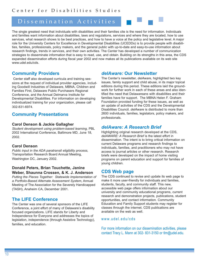# Dissemination Activities

The single greatest need that individuals with disabilities and their families cite is the need for information. Individuals and families want information about disabilities, laws and regulations, services and where they are located, how to use services, what research shows to be best practices, and how to have a voice at the policy and legislative level. A major role for the University Centers for Excellence in Developmental Disabilities (UCEDDs) is to provide people with disabilities, families, professionals, policy makers, and the general public with up-to-date and easy-to-use information about research findings, trends in services, and their own activities. The Center has developed a number of communication strategies to disseminate information that is easy to read, use, and obtain. Building on its strengths in this area, the CDS expanded dissemination efforts during fiscal year 2002 and now makes all its publications available on its web site www.udel.edu/cds.

# **Community Providers**

Center staff also developed curricula and training sessions at the request of individual provider agencies, including Goodwill Industries of Delaware, MBNA, Children and Families First, Delaware Public Purchasers Regional Conference, and the Annual Delmarva Institute for Developmental Disabilities. For information on developing individualized training for your organization, please call 302-831-6974.

# **Community Presentations**

#### **Carol Denson & Jackie Gallagher**

*Student development using problem-based learning,* PBL 2002 International Conference, Baltimore MD, June 18, 2002.

#### **Carol Denson**

*Public input in the ADA paratransit eligibility process,* Transportation Research Board Annual Meeting, Washington DC, January 2002.

#### **Donald Peters, Brian Touchette, Janine Weber, Shaunna Crossen, & K. J. Anderson**

*Putting the Pieces Together: Statewide Implementation of a Portfolio-Based Alternate Assessment System,* Annual Meeting of The Association for the Severely Handicapped (TASH), Anaheim CA, December 2001.

# **The LIFE Conference**

The Center was one of several sponsors of the LIFE Conference, a joint effort of many of Delaware's disability focused organizations. LIFE stands for Liberty and Independence for Everyone and addresses the topics of legislation, independence (through Assistive Technology), families, and education.

## *delAware:* **Our Newsletter**

The Center's newsletter, *delAware,* highlighted two key issues, family support and child abuse, in its major topical editions during this period. These editions laid the groundwork for further work in each of these areas and also identified the need that Delawareans with disabilities and their families have for support. The MBNA Helen F. Graham Foundation provided funding for these issues, as well as an update of activities of the CDS and the Developmental Disabilities Council. *delAware* is distributed to more than 2600 individuals, families, legislators, policy makers, and professionals.

# *delAware: A Research Brief*

Highlighting original research developed at the CDS, *delAWARE: A Research Brief* is the latest effort in dissemination. The intent is to bring critical information on current Delaware programs and research findings to individuals, families, and practitioners who may not have access to journal articles or other research. Research briefs were developed on the impact of home visiting programs on parent education and support for families of young children.

## **CDS Web page**

The CDS continued to revise and update its web page to make it more user-friendly for individuals and families, students, faculty, and community staff. This new, accessible web page offers information about our university and community educational programs, current research and demonstration projects, publications, student opportunities, and contact information. Community Education and Family Support students may register for classes through the internet. CDS publications are available on the web as well.

#### www.udel.edu/cds

For more information on our dissemination activities, please contact Tracy L. Mann at 302- 831-3150 or tlm@udel.edu.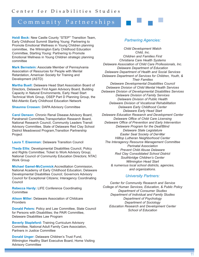# Community Partnerships

**Heidi Beck:** New Castle County "STEP"' Transition Team, Early Childhood Summit Starting Young: Partnering to Promote Emotional Wellness in Young Children planning committee, the Wilmington Early Childhood Education Committee, Starting Young: Partnering to Promote Emotional Wellness in Young Children strategic planning committee

**Mark Bernstein:** Associate Member of Pennsylvania Association of Resources for People with Mental Retardation, American Society for Training and Development (ASTD)

**Martha Buell:** Delaware Head Start Association Board of Directors, Delaware First Again Advisory Board, Building Capacity in Natural Environments, Early Head Start Technical Work Group, OSEP Part D Planning Group, the Mid-Atlantic Early Childhood Education Network

**Shaunna Crossen:** DAPA Advisory Committee

**Carol Denson:** Chronic Renal Disease Advisory Board, Paratransit Committee,Transportation Research Board, National Research Council, Community Leaders Transit Advisory Committee, State of Delaware Red Clay School District Meadowood Program,Transition Partnership **Project** 

**Laura T. Eisenman:** Delaware Transition Council

**Theda Ellis:** Developmental Disabilities Council, Policy and Rights Committee; Ticket to Work Advisory Group; National Council of Community Education Directors; NTAC Work Group

**Michael Gamel-McCormick:**Accreditation Commission, National Academy of Early Childhood Education; Delaware Developmental Disabilities Council; Governors Advisory Council for Exceptional Citizens; Interagency Coordinating Council

**Rebecca Hardy:** LIFE Conference Coordinating **Committee** 

**Alison Miller:** Delaware Association of Childcare **Providers** 

**Donald Peters:** Policy and Law Committee, State Council for Persons with Disabilities; the PAIR Committee, Delaware Disabilities Law Program

**Beverly Stapleford:** Training Curriculum Advisory Committee, National Adult Family Care Association, Partners in Justice Committee

**Donald Unger:** Delaware Children's Trust Fund, Wilmington Healthy Start Executive Board, Home Visiting Advisory Committee

#### *Partnering Agencies:*

*Child Development Watch Child, Inc. Children and Families First Christiana Care Health Systems Delaware Association of Child Care Professionals, Inc. Delaware Department of Education Delaware Department of Health and Social Services Delaware Department of Services for Children, Youth, & Their Families Delaware Developmental Disabilities Council Delaware Division of Child Mental Health Services Delaware Division of Developmental Disabilities Services Delaware Division of Family Services Delaware Division of Public Health Delaware Division of Vocational Rehabilitation Delaware Early Childhood Center Delaware Early Head Start Delaware Education Research and Development Center Delaware Office of Child Care Licensing Delaware Office of Prevention and Early Intervention Delaware Program for the Deaf/Blind Delaware State Legislature Easter Seal Society of Del-Mar Hilltop Lutheran Neighborhood Center The Interagency Resource Management Committee Perinatal Association Prevent Child Abuse Delaware Red Clay Consolidated School District Southbridge Children's Center Wilmington Head Start & numerous local school districts, agencies, and organizations.*

#### *University Partners:*

*Center for Community Research and Service College of Human Services, Education, & Public Policy Department of Consumer Studies Department of Individual and Family Studies Department of Psychology Department of Sociology Education Research and Development Center School of Education*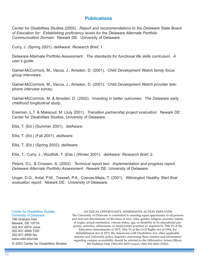## **Publications**

Center for Disabilities Studies (2002). *Report and recommendations to the Delaware State Board of Education for: Establishing proficiency levels for the Delaware Alternate Portfolio Communication Domain*. Newark DE: University of Delaware.

Curry, J. (Spring 2001). *delAware: Research Brief*, 1.

Delaware Alternate Portfolio Assessment. *The standards for functional life skills curriculum. A user's guide*.

Gamel-McCormick, M., Vacca, J., Amsden, D. (2001). *Child Development Watch family focus group interviews*.

Gamel-McCormick, M., Vacca, J., Amsden, D. (2001). *Child Development Watch provider telephone interview survey*.

Gamel-McCormick, M. & Amsden, D. (2002). *Investing in better outcomes: The Delaware early childhood longitudinal study*.

Eiseman, L.T. & Maksoud, M. (July 2001). *Transition partnership project evaluation*. Newark DE: Center for Disabilities Studies, University of Delaware.

Ellis, T. (Ed.) (Summer 2001). *delAware*.

Ellis, T. (Ed.) (Fall 2001). *delAware*.

Ellis, T. (Ed.) (Spring 2002). *delAware*.

Ellis, T., Curry, J., Woolfolk, T. (Eds.) (Winter 2001). *delAware: Research Brief*, 2.

Peters, D.L. & Crossen, S. (2002). *Technical report two: Implementation and progress report, Delaware Alternate Portfolio Assessment*. Newark DE: University of Delaware.

Unger, D.G., Antal, P.W., Tressell, P.A., Cuevas-Mejia, T. (2001). *Wilmington Healthy Start final evaluation report.* Newark DE: University of Delaware.

#### Center for Disabilities Studies University of Delaware

166 Graham Hall Newark, DE 19716 302.831.6974 voice 302.831.4689 TDD 302.831.4690 fax www.udel.edu/cds

#### AN EQUAL OPPORTUNITY, AFFIRMATIVE ACTION EMPLOYER

The University of Delaware is committed to assuring equal opportunity to all persons and does not discriminate on the basis of race, color, gender, religion, ancestry, national origin, sexual orientation, veteran status, age, or disability in its educational programs, activities, admissions, or employment practices as required by Title IX of the Education Amendments of 1972, Title VI of the Civil Rights Act of 1964, the Rehabilitation Act of 1973, the Americans with Disabilities Act, other applicable statutes and University policy. Inquiries concerning these statutes and information regarding campus accessibility should be referred to the Affirmative Action Officer, © 2003 Center for Disabilities Studies 305 Hullihen Hall, (302) 831-2835 (voice), (302) 831-4563 (TDD).